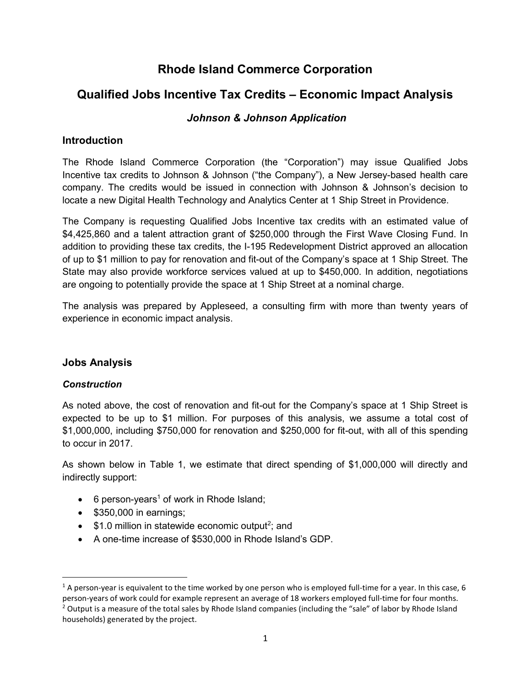## Rhode Island Commerce Corporation

# Qualified Jobs Incentive Tax Credits – Economic Impact Analysis

### Johnson & Johnson Application

#### **Introduction**

The Rhode Island Commerce Corporation (the "Corporation") may issue Qualified Jobs Incentive tax credits to Johnson & Johnson ("the Company"), a New Jersey-based health care company. The credits would be issued in connection with Johnson & Johnson's decision to locate a new Digital Health Technology and Analytics Center at 1 Ship Street in Providence.

The Company is requesting Qualified Jobs Incentive tax credits with an estimated value of \$4,425,860 and a talent attraction grant of \$250,000 through the First Wave Closing Fund. In addition to providing these tax credits, the I-195 Redevelopment District approved an allocation of up to \$1 million to pay for renovation and fit-out of the Company's space at 1 Ship Street. The State may also provide workforce services valued at up to \$450,000. In addition, negotiations are ongoing to potentially provide the space at 1 Ship Street at a nominal charge.

The analysis was prepared by Appleseed, a consulting firm with more than twenty years of experience in economic impact analysis.

#### Jobs Analysis

#### **Construction**

As noted above, the cost of renovation and fit-out for the Company's space at 1 Ship Street is expected to be up to \$1 million. For purposes of this analysis, we assume a total cost of \$1,000,000, including \$750,000 for renovation and \$250,000 for fit-out, with all of this spending to occur in 2017.

As shown below in Table 1, we estimate that direct spending of \$1,000,000 will directly and indirectly support:

- 6 person-years<sup>1</sup> of work in Rhode Island;
- $\bullet$  \$350,000 in earnings;
- $\bullet$  \$1.0 million in statewide economic output<sup>2</sup>; and
- A one-time increase of \$530,000 in Rhode Island's GDP.

<sup>&</sup>lt;sup>1</sup> A person-year is equivalent to the time worked by one person who is employed full-time for a year. In this case, 6 person-years of work could for example represent an average of 18 workers employed full-time for four months.

<sup>&</sup>lt;sup>2</sup> Output is a measure of the total sales by Rhode Island companies (including the "sale" of labor by Rhode Island households) generated by the project.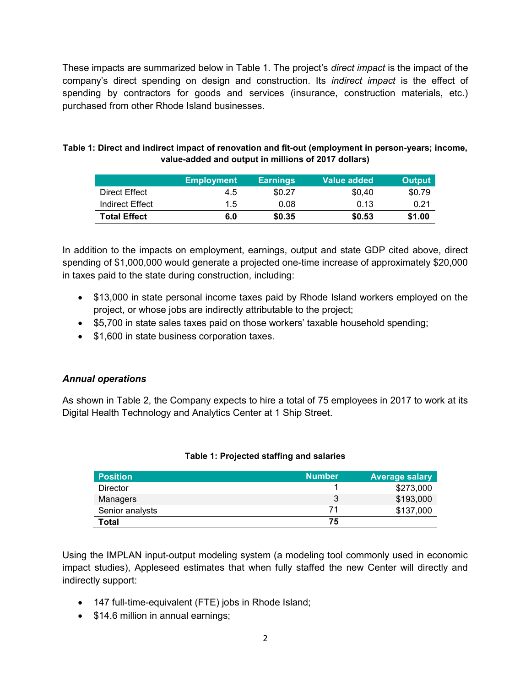These impacts are summarized below in Table 1. The project's *direct impact* is the impact of the company's direct spending on design and construction. Its *indirect impact* is the effect of spending by contractors for goods and services (insurance, construction materials, etc.) purchased from other Rhode Island businesses.

| Table 1: Direct and indirect impact of renovation and fit-out (employment in person-years; income, |
|----------------------------------------------------------------------------------------------------|
| value-added and output in millions of 2017 dollars)                                                |

|                     | <b>Employment</b> | <b>Earnings</b> | Value added | <b>Output</b> |
|---------------------|-------------------|-----------------|-------------|---------------|
| Direct Effect       | 4.5               | \$0.27          | \$0.40      | \$0.79        |
| Indirect Effect     | $1.5^{\circ}$     | 0.08            | 0.13        | 0.21          |
| <b>Total Effect</b> | 6.0               | \$0.35          | \$0.53      | \$1.00        |

In addition to the impacts on employment, earnings, output and state GDP cited above, direct spending of \$1,000,000 would generate a projected one-time increase of approximately \$20,000 in taxes paid to the state during construction, including:

- \$13,000 in state personal income taxes paid by Rhode Island workers employed on the project, or whose jobs are indirectly attributable to the project;
- \$5,700 in state sales taxes paid on those workers' taxable household spending;
- \$1,600 in state business corporation taxes.

#### Annual operations

As shown in Table 2, the Company expects to hire a total of 75 employees in 2017 to work at its Digital Health Technology and Analytics Center at 1 Ship Street.

| <b>Position</b> | <b>Number</b> | <b>Average salary</b> |
|-----------------|---------------|-----------------------|
| <b>Director</b> |               | \$273,000             |
| Managers        |               | \$193,000             |
| Senior analysts | 71            | \$137,000             |
| Total           | 75            |                       |

Using the IMPLAN input-output modeling system (a modeling tool commonly used in economic impact studies), Appleseed estimates that when fully staffed the new Center will directly and indirectly support:

- 147 full-time-equivalent (FTE) jobs in Rhode Island;
- \$14.6 million in annual earnings;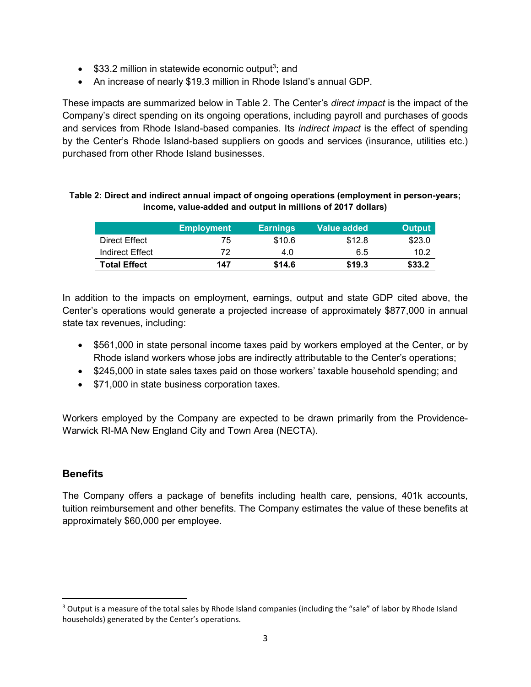- $\bullet$  \$33.2 million in statewide economic output<sup>3</sup>; and
- An increase of nearly \$19.3 million in Rhode Island's annual GDP.

These impacts are summarized below in Table 2. The Center's *direct impact* is the impact of the Company's direct spending on its ongoing operations, including payroll and purchases of goods and services from Rhode Island-based companies. Its *indirect impact* is the effect of spending by the Center's Rhode Island-based suppliers on goods and services (insurance, utilities etc.) purchased from other Rhode Island businesses.

|                     | <b>Employment</b> | <b>Earnings</b> | Value added | <b>Output</b> |
|---------------------|-------------------|-----------------|-------------|---------------|
| Direct Effect       | 75                | \$10.6          | \$12.8      | \$23.0        |
| Indirect Effect     | 72                | 4.0             | 6.5         | 10.2          |
| <b>Total Effect</b> | 147               | \$14.6          | \$19.3      | \$33.2        |

#### Table 2: Direct and indirect annual impact of ongoing operations (employment in person-years; income, value-added and output in millions of 2017 dollars)

In addition to the impacts on employment, earnings, output and state GDP cited above, the Center's operations would generate a projected increase of approximately \$877,000 in annual state tax revenues, including:

- \$561,000 in state personal income taxes paid by workers employed at the Center, or by Rhode island workers whose jobs are indirectly attributable to the Center's operations;
- \$245,000 in state sales taxes paid on those workers' taxable household spending; and
- \$71,000 in state business corporation taxes.

Workers employed by the Company are expected to be drawn primarily from the Providence-Warwick RI-MA New England City and Town Area (NECTA).

#### **Benefits**

 $\overline{a}$ 

The Company offers a package of benefits including health care, pensions, 401k accounts, tuition reimbursement and other benefits. The Company estimates the value of these benefits at approximately \$60,000 per employee.

<sup>&</sup>lt;sup>3</sup> Output is a measure of the total sales by Rhode Island companies (including the "sale" of labor by Rhode Island households) generated by the Center's operations.